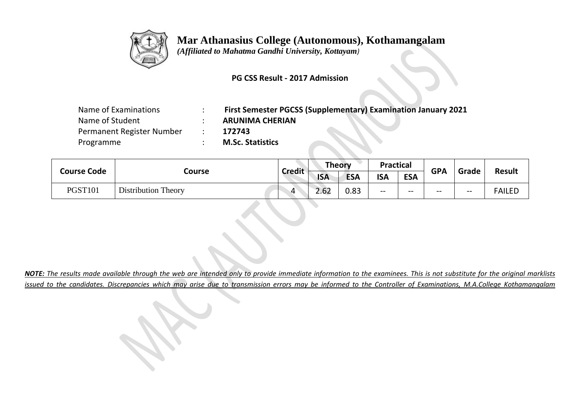

## **Mar Athanasius College (Autonomous), Kothamangalam**

 *(Affiliated to Mahatma Gandhi University, Kottayam)*

## **PG CSS Result - 2017 Admission**

| Name of Examinations      | <b>First Semester PGCSS (Supplementary) Examination January 2021</b> |
|---------------------------|----------------------------------------------------------------------|
| Name of Student           | <b>ARUNIMA CHERIAN</b>                                               |
| Permanent Register Number | 172743                                                               |
| Programme                 | <b>M.Sc. Statistics</b>                                              |

|                    |                            |               | <b>Theory</b> |            | <b>Practical</b> |            | <b>GPA</b> | Grade |               |
|--------------------|----------------------------|---------------|---------------|------------|------------------|------------|------------|-------|---------------|
| <b>Course Code</b> | Course                     | <b>Credit</b> | <b>ISA</b>    | <b>ESA</b> | <b>ISA</b>       | <b>ESA</b> |            |       | <b>Result</b> |
| <b>PGST101</b>     | <b>Distribution Theory</b> | 4             | 2.62          | 0.83       | $- -$            | $-$        | $- -$      | $- -$ | FAILED        |

*NOTE: The results made available through the web are intended only to provide immediate information to the examinees. This is not substitute for the original marklists issued to the candidates. Discrepancies which may arise due to transmission errors may be informed to the Controller of Examinations, M.A.College Kothamangalam*